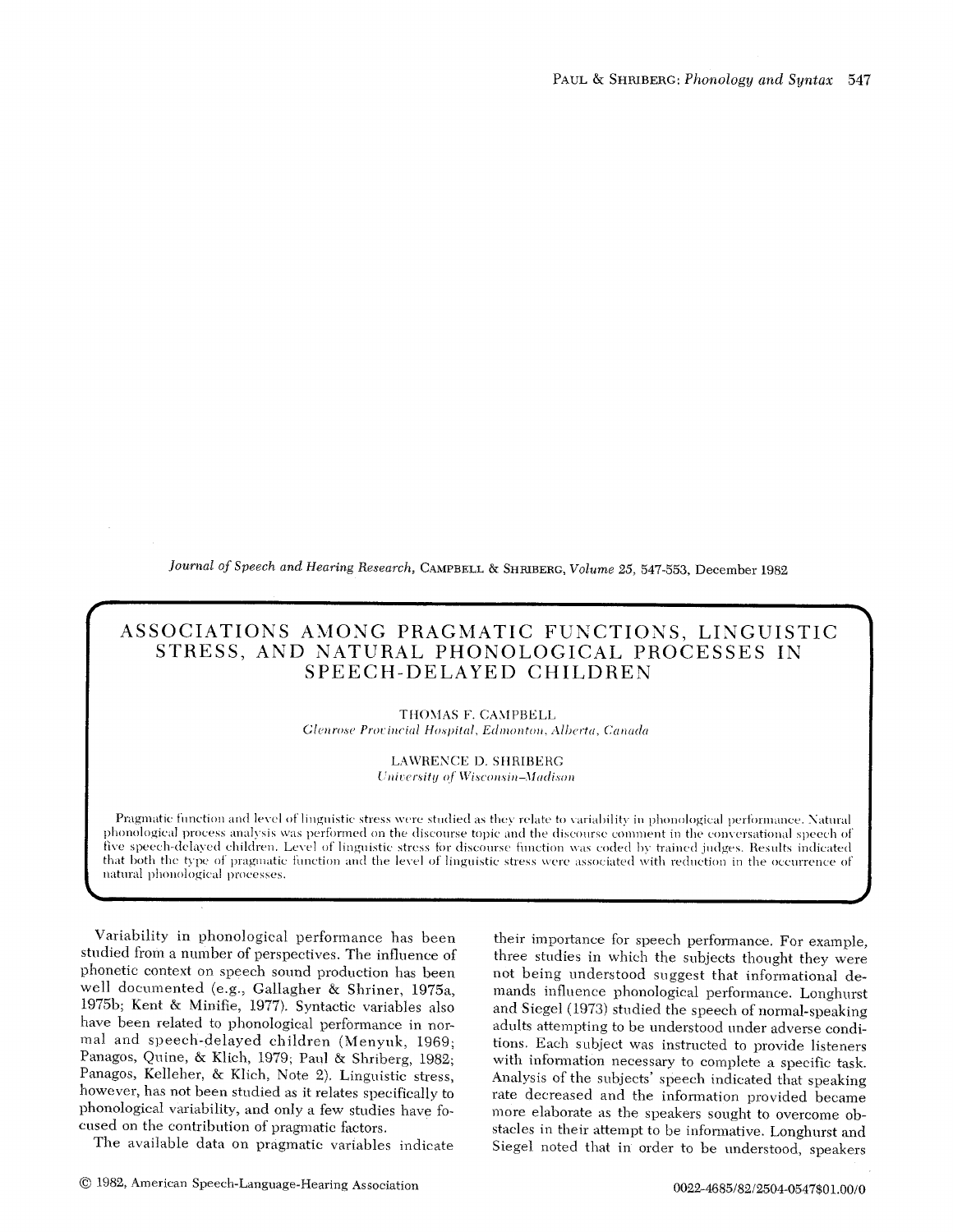*Journal of Speech and Hearing Research, CAMPBELL & SHRIBERG, Volume 25, 547-553, December 1982* 

# **ASSOCIATIONS AMONG PRAGMATIC FUNCTIONS, LINGUISTIC STRESS, AND NATURAL PHONOLOGICAL PROCESSES IN SPEECH-DELAYED CHILDREN**

**TtIOMAS F. CAMPBELL**   $Glenrose$  Provincial Hospital, Edmonton, Alberta, Canada

> **LAWRENCE D. SItRIBERC**  *University of Wisconsin-Madison*

phonological process analysis was performed on the discourse topic and the discourse comment in the conversational speech of If the speech-delayed children. Level of imguistic stress for discourse function was coded by trained judges. Results indicated that both the type of pragmatic function and the level of linguistic stress were associated wi natural phonological processes. Pragmatic function and level of linguistic stress were studied as they relate to variability in phonological performance. Natural five speech-delayed children. Level of linguistic stress for discourse function was coded by trained judges. Results indicated

Variability in phonological performance has been studied from a number of perspectives. The influence of phonetic context on speech sound production has been well documented (e.g., Gallagher & Shriner, 1975a, 1975b; Kent & Minifie, 1977). Syntactic variables also have been related to phonological performance in normal and speech-delayed children (Menyuk, 1969; Panagos, Quine, & Klich, 1979; Panl & Shriberg, 1982; Panagos, Kelleher, & Klich, Note 2). Linguistic stress, however, has not been studied as it relates specifically to phonological variability, and only a few studies have focused on the contribution of pragmatic factors.

The available data on pragmatic variables indicate

their importance for speech performance. For example, three studies in which the subjects thought they were not being understood suggest that informational demands influence phonological performance. Longhurst and Siegel (1973) studied the speech of normal-speaking adults attempting to be understood under adverse conditions. Eaeh subject was instructed to provide listeners with information necessary to complete a specific task. Analysis of the subjects' speech indicated that speaking rate decreased and the information provided became more elaborate as the speakers sought to overcome obstacles in their attempt to be informative. Longhurst and Siegel noted that in order to be understood, speakers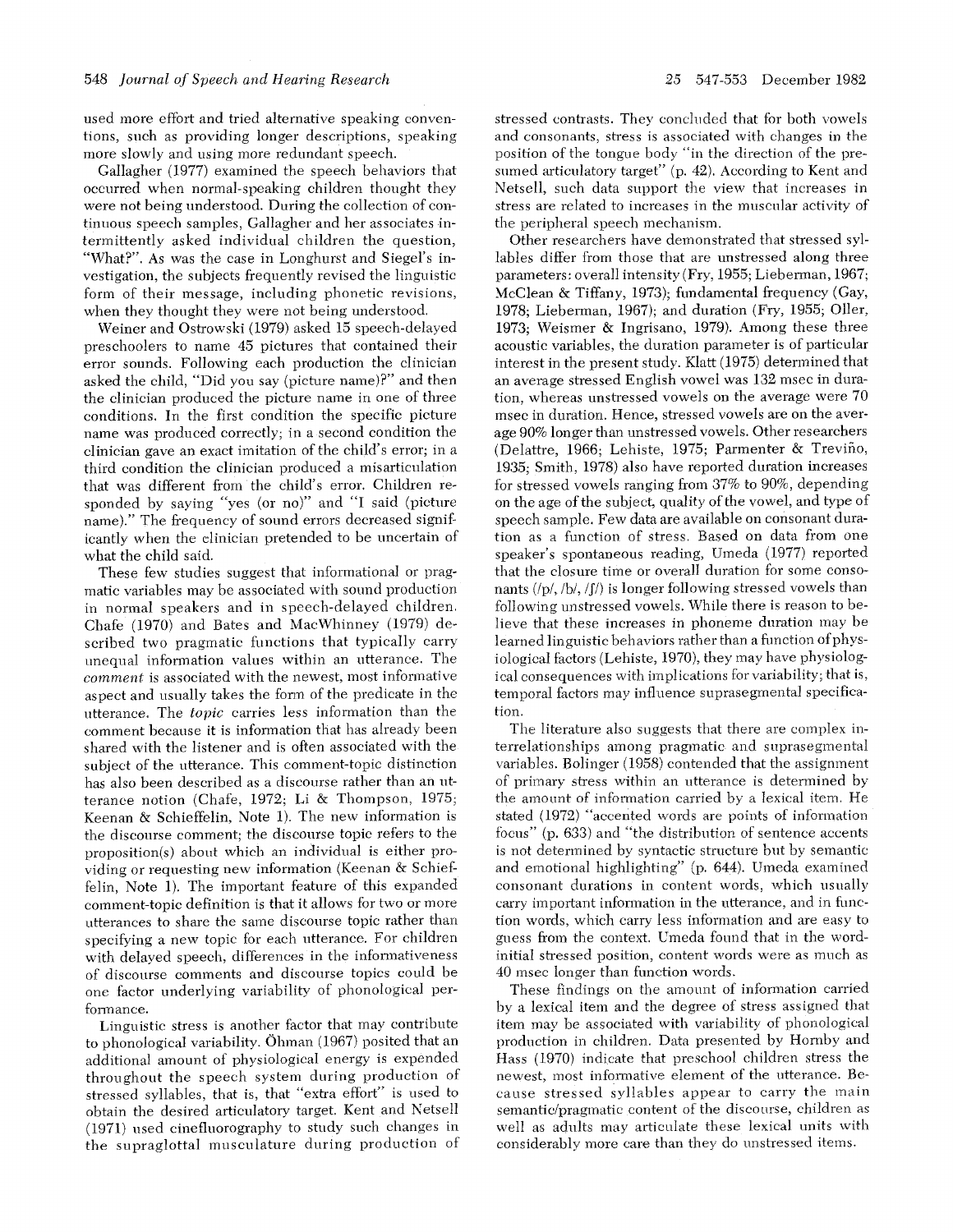used more effort and tried alternative speaking conventions, sneh as providing longer descriptions, speaking more slowly and using more redundant speech.

Gallagher (1977) examined the speech behaviors that occurred when normal-speaking children thought they were not being understood. During the collection of continuous speech samples, Gallagher and her associates intermittently asked individual children the question, "What?". As was the case in Longhurst and Siegel's investigation, the subjects frequently revised the linguistic form of their message, including phonetic revisions, when they thought they were not being understood.

Weiner and Ostrowski (1979) asked 15 speech-delayed preschoolers to name 45 pictures that contained their error sounds. Following each production the clinician asked the child, "Did you say (picture name)?" and then the clinician produced the picture name in one of three conditions. In the first condition the specific picture name was produced correctly; in a second condition the clinician gave an exact imitation of the child's error; in a third condition the clinician produced a misartieulation that was different from the child's error. Children responded by saying *"'yes* (or no)" and "I said (picture name)." The frequency of sound errors decreased significantly when the clinician pretended to be uncertain of what the child said.

These few studies suggest that informational or pragmatic variables may be associated with sound production in normal speakers and in speech-delayed children. Chafe (1970) and Bates and MacWhinney (1979) described two pragmatic functions that typically carry unequal information values within an utterance. The *comment* is associated with the newest, most informative aspect and usually takes the form of the predicate in the utterance. The *topic* carries *less* information than the comment because it is information that has already been shared with the listener and is often associated with the subject of the utterance. This comment-topic distinction has also been described as a discourse rather than an utterance notion (Chafe, 1972; Li & Thompson, 1975; Keenan & Schieffelin, Note 1). The new information is the discourse comment; the discourse topic refers to the proposition(s) about which an individual is either providing or requesting new information (Keenan & Schieffelin, Note 1). The important feature of this expanded comment-topic definition is that it allows for two or more utterances to share the same discourse topic rather than specifying a new topic for each utterance. For children with delayed speech, differences in the informativeness of discourse comments and discourse topics could be one factor underlying variability of phonological perfonnance.

Linguistic stress is another factor that may contribute to phonological variability. Ohman (1967) posited that an additional amount of physiological energy is expended throughout the speech system during production of stressed syllables, that is, that "extra effort" is used to obtain the desired articulatory target. Kent and Netsell (1971) used cinefluorography to study such changes in the supraglottal musculature during production of

stressed contrasts. They concluded that for both vowels and consonants, stress is associated with changes in the position of the tongue body "in the direction of the presumed articulatory target" (p. 42). According to Kent and Netsell, such data support the view that increases in stress are related to increases in the muscular activity of the peripheral speech mechanism.

Other researchers have demonstrated that stressed syllables differ from those that are unstressed along three parameters: overall intensity (Fry, 1955; Lieberman, 1967; McClean & Tiffany, 1978); fundamental frequency (Gay, 1978; Lieberman, 1967); and duration (Fry, 1955; Oiler, 1973; Weismer & Ingrisano, 1979). Among these three acoustic variables, the duration parameter is of particular interest in the present study. Klatt (1975) determined that an average stressed English vowel was 132 msec in duration, whereas unstressed vowels on the average were 70 msee in duration. Hence, stressed vowels are on the average 90% longer than unstressed vowels. Other researchers (Delattre, 1966; Lehiste, 1975; Parmenter & Trevifio, 1935; Smith, 1978) also have reported duration increases for stressed vowels ranging from 37% to 90%, depending on the age of the subject, quality of the vowel, and type of speech sample. Few data are available on consonant duration as a function of Stress. Based on data from one speaker's spontaneous reading, Umeda (1977) reported that the closure time or overall duration for some consonants (/p/, *Ibl,/f/)* is longer following stressed vowels than following unstressed vowels. While there is reason to believe that these increases in phoneme duration may be learned linguistic behaviors rather than a function of physiological factors (Lehiste, 1970), they may have physiological consequences with implications for variability; that is, temporal factors may influence suprasegmental specification.

The literature also suggests that there are complex interrelationships among pragmatic and suprasegmental variables. Bolinger (1958) contended that the assigmnent of primary stress within an utterance is determined by the amount of information carried by a lexical item. He stated (1972) "accented words are points of information focus" (p. 633) and "the distribution of sentence accents is not determined by syntactic structure but by semantic and emotional highlighting" (p. 644). Umeda examined consonant durations in content words, which usually carry important information in the utterance, and in function words, which carry less information and are easy to guess from the context. Umeda found that in the wordinitial stressed position, content words were as much as 40 msec longer than function words.

These findings on the amount of information carried by a lexical item and the degree of stress assigned that item may be associated with variability of phonological production in children. Data presented by Hornby and Hass (1970) indicate that preschool children stress the newest, most informative element of the utterance. Because stressed syllables appear to carry the main semantic/pragmatic content of the discourse, children as well as adults may articulate these lexical units with considerably more care than they do unstressed items.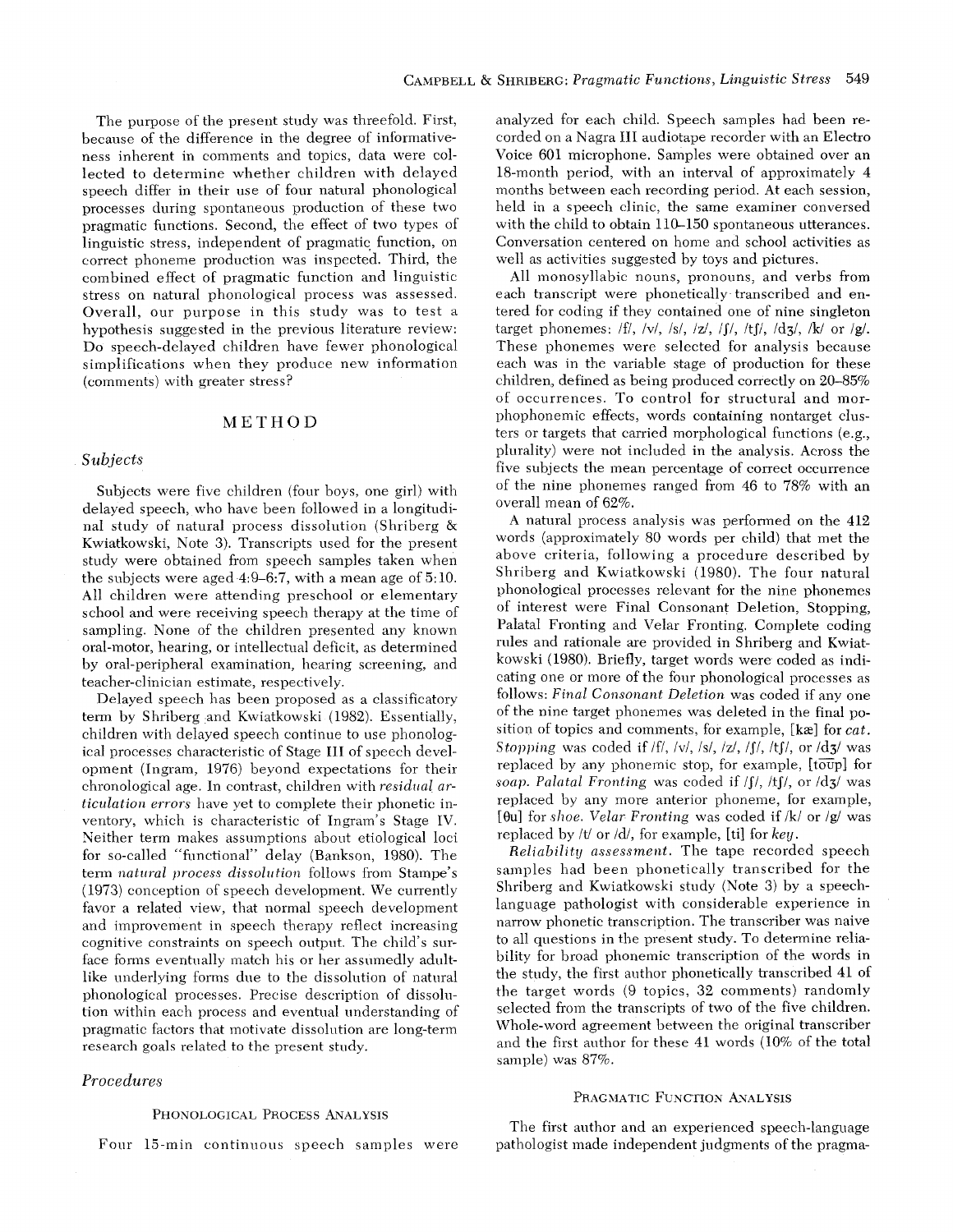The purpose of the present study was threefold. First, because of the difference in the degree of informativeness inherent in comments and topics, data were collected to determine whether children with delayed speech differ in their use of four natural phonological processes during spontaneous production of these two pragmatic functions. Second, the effect of two types of linguistic stress, independent of pragmatic function, on correct phoneme production was inspected. Third, the combined effect of pragmatic function and linguistic stress on natural phonological process was assessed. Overall, our purpose in this study was to test a hypothesis suggested in the previous literature review: Do speech-delayed children have fewer phonological simplifications when they produce new information (comments) with greater stress?

### METHOD

#### *Subjects*

Subjects were five children (four boys, one girl) with delayed speech, who have been followed in a longitudinal study of natural process dissolution (Shriberg & Kwiatkowski, Note 3). Transcripts used for the present study were obtained from speech samples taken when the subjects were aged 4:9-6:7, with a mean age of 5:10. All children were attending preschool or elementary school and were receiving speech therapy at the time of sampling. None of the children presented any known oral-motor, hearing, or intellectual deficit, as determined by oral-peripheral examination, hearing screening, and teacher-clinician estimate, respectively.

Delayed speech has been proposed as a classificatory term by Shriberg and Kwiatkowski (1982). Essentially, children with delayed speech continue to use phonological processes characteristic of Stage III of speech development (Ingram, 1976) beyond expectations for their chronological age. In contrast, children with *residual articulation errors* have yet to complete their phonetic inventory, which is characteristic of Ingram's Stage IV. Neither term makes assumptions about etiological loci for so-called "functional" delay (Bankson, 1980). The term *natural process dissolution* follows from Stampe's (1973) conception of speech development. We currently favor a related view, that normal speech development and improvement in speech therapy reflect increasing cognitive constraints on speech output. The child's surface forms eventually match his or her assumedly adultlike underlying forms due to the dissolution of natural phonological processes. Precise description of dissolution within each process and eventual understanding of pragmatic factors that motivate dissolution are long-term research goals related to the present study.

## *Procedures*

#### PHONOLOGICAL PROCESS ANALYSIS

Four 15-min continuous speech samples were

analyzed for each child. Speech samples had been recorded on a Nagra III audiotape recorder with an Electro Voice 601 microphone. Samples were obtained over an 18-month period, with an interval of approximately 4 months between each recording period. At each session, held in a speech clinic, the same examiner conversed with the child to obtain 110-150 spontaneous utterances. Conversation centered on home and school activities as well as activities suggested by toys and pictures.

All monosyllabic nouns, pronouns, and verbs from each transcript were phonetically transcribed and entered for coding if they contained one of nine singleton target phonemes:  $\frac{f}{f}$ ,  $\frac{f}{s}$ ,  $\frac{s}{s}$ ,  $\frac{s}{s}$ ,  $\frac{s}{s}$ ,  $\frac{s}{s}$ ,  $\frac{s}{s}$ ,  $\frac{s}{s}$ ,  $\frac{s}{s}$  or  $\frac{s}{s}$ . These phonemes were selected for analysis because each was in the variable stage of production for these children, defined as being produced correctly on 20-85% of occurrences. To control for structural and morphophonemie effects, words containing nontarget clusters or targets that carried morphological functions (e.g., plurality) were not included in the analysis. Across the five subjects the mean percentage of correct occurrence of the nine phonemes ranged from 46 to 78% with an overall mean of 62%.

A natural process analysis was performed on the 412 words (approximately 80 words per child) that met the above criteria, following a procedure described by Shriberg and Kwiatkowski (1980). The four natural phonological processes relevant for the nine phonemes of interest were Final Consonant Deletion, Stopping, Palatal Fronting and Velar Fronting. Complete coding rules and rationale are provided in Shriberg and Kwiatkowski (1980). Briefly, target words were coded as indicating one or more of the four phonological processes as follows: *Final Consonant Deletion* was coded if any one of the nine target phonemes was deleted in the final position of topics and comments, for example, [kæ] for *cat*. *Stopping* was coded if /f/, /v/, /s/, /z/, /f/, /tf/, or /d3/ was replaced by any phonemic stop, for example,  $[t\overline{oup}]$  for *soap. Palatal Fronting* was coded if /f/, /tf/, or /d3/ was replaced by any more anterior phoneme, for example, [Ou] for *shoe. Velar Fronting* was coded if/k/or/g/was replaced by/t/or/d/, for example, [ti] for *key.* 

*Reliability assessment*. The tape recorded speech samples had been phonetically transcribed for the Shriberg and Kwiatkowski study (Note 3) by a speechlanguage pathologist with considerable experience in narrow phonetic transcription. The transcriber was naive to all questions in the present study. To determine reliability for broad phonemic transcription of the words in the study, the first author phonetically transcribed 41 of the target words (9 topics, 32 comments) randomly selected from the transcripts of two of the five children. Whole-word agreement between the original transcriber and the first author for these 41 words (10% of the total sample) was 87%.

## PRAGMATIC FUNCTION ANALYSIS

The first author and an experienced speech-language pathologist made independent judgments of the pragma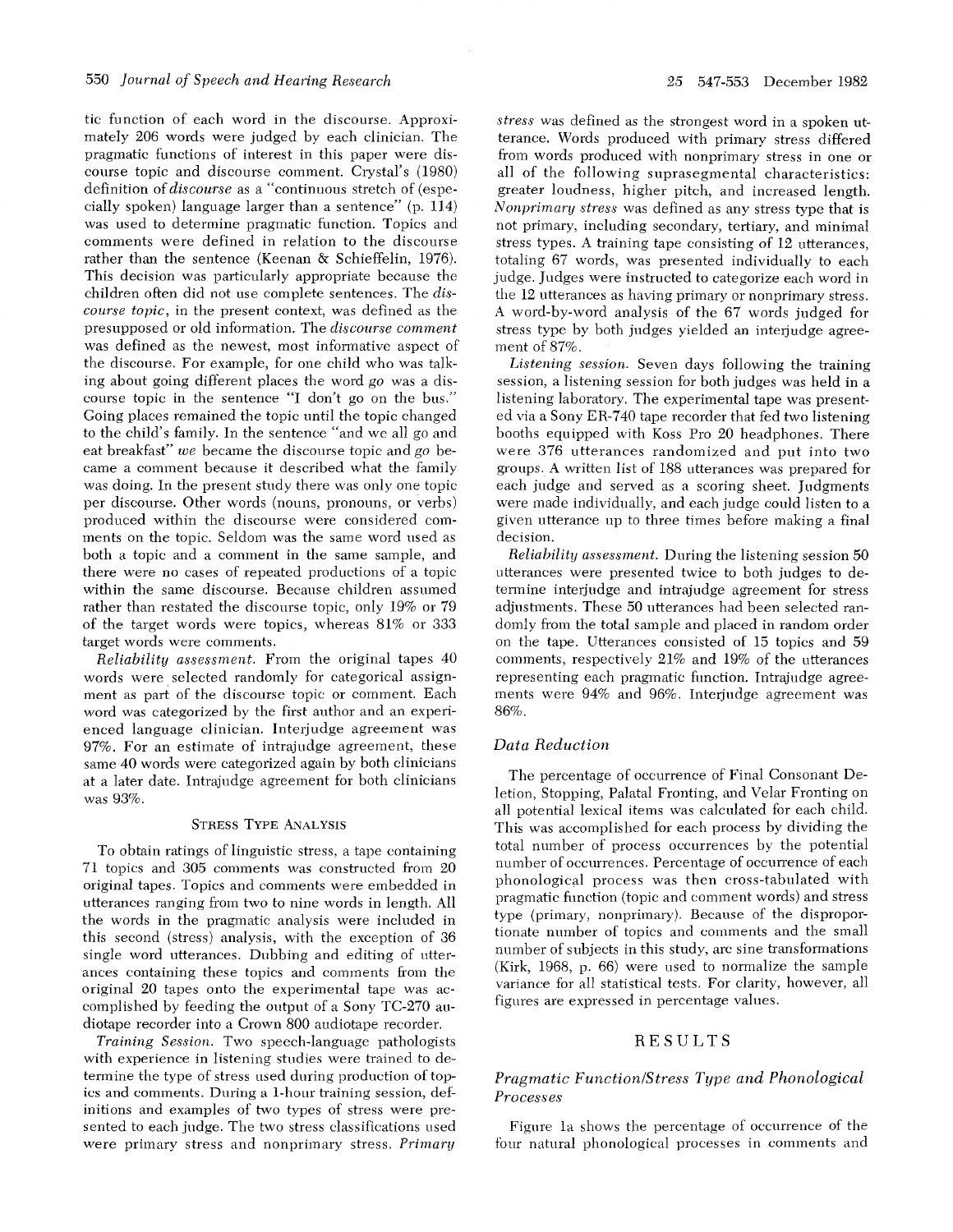tic function of each word in the discourse. Approximately 206 words were judged by each clinician. The pragmatic functions of interest in this paper were discourse topic and discourse comment. Crystal's (1980) definition *of discourse* as a "continuous stretch of (especially spoken) language larger than a sentence" (p. 114) was used to determine pragmatic function. Topics and comments were defined in relation to the discourse rather than the sentence (Keenan & Schieffelin, 1976). This decision was particularly appropriate because the children often did not use complete sentences. The *discourse topic,* in the present context, was defined as the presupposed or old information. The *discourse comment*  was defined as the newest, most informative aspect of the discourse. For example, for one child who was talking about going different places the word *go* was a discourse topic in the sentence "I don't go on the bus." Going places remained the topic until the topic changed to the child's family. In the sentence "and we all go and eat breakfast" *we* became the discourse topic and go became a comment beeanse it described what the family was doing. In the present study there was only one topic per discourse. Other words (nouns, pronouns, or verbs) produced within the discourse were considered comments on the topic. Seldom was the same word used as both a topic and a comment in the same sample, and there were no cases of repeated productions of a topic within the same discourse. Because children assumed rather than restated the discourse topic, only 19% or 79 of the target words were topics, whereas 8I% or 333 target words were comments.

*Reliability assessment.* From the original tapes 40 words were selected randomly for categorical assignment as part of the discourse topic or comment. Each word was categorized by the first author and an experienced language clinician. Interjudge agreement was 97%. For an estimate of intrajudge agreement, these same 40 words were categorized again by both clinicians at a later date. Intrajudge agreement for both clinicians was 93%.

#### STRESS TYPE ANALYSIS

To obtain ratings of linguistic stress, a tape containing 71 topics and 305 comments was constructed from 20 original tapes. Topics and comments were embedded in utterances ranging from two to nine words in length. All the words in the pragmatic analysis were included in this second (stress) analysis, with the exception of 36 single word utterances. Dubbing and editing of utterances containing these topics and comments from the original 20 tapes onto the experimental tape was accomplished by feeding the output of a Sony TC-270 audiotape recorder into a Crown 800 audiotape recorder.

*Training Session.* Two speech-language pathologists with experience in listening studies were trained to determine the type of stress used during production of topics and comments. During a 1-hour training session, definitions and examples of two types of stress were presented to each judge. The two stress classifications used were primary stress and nonprimary stress. Primary

*stress* was defined as the strongest word in a spoken utterance. Words produced with primary stress differed from words produced with nonprimary stress in one or all of the following suprasegmental characteristics: greater loudness, higher pitch, and increased length. *Nonprimary stress* was defined as any stress type that is not primary, including secondary, tertiary, and minimal stress types. A training tape consisting of 12 utterances, totaling 67 words, was presented individually to each judge. Judges were instructed to categorize each word in the 12 utterances as having primary or nonprimary stress. A word-by-word analysis of the 67 words judged for stress type by both judges yielded an interjudge agreement of 87%.

*Listening session.* Seven days following the training session, a listening session for both judges was held in a listening laboratory. The experimental tape was presented via a Sony ER-740 tape recorder that fed two listening booths equipped with Koss Pro 20 headphones. There were 376 utterances randomized and put into two groups. A written list of 188 utterances was prepared for each judge and served as a scoring sheet. Judgments were made individually, and each judge could listen to a given utterance up to three times before making a final decision.

*Reliability assessment.* During the listening session 50 utterances were presented twice to both judges to determine interjudge and intrajudge agreement for stress adjustments. These 50 utterances had been selected randomly from the total sample and placed in random order on the tape. Utterances consisted of 15 topics and 59 comments, respectively 21% and 19% of the utterances representing each pragmatic function. Intrajudge agreements were 94% and 96%. Interjudge agreement was 86%.

## *Data Reduction*

The percentage of occurrence of Final Consonant Deletion, Stopping, Palatal Fronting, and Velar Fronting on all potential lexical items was calculated for each child. This was accomplished for each process by dividing the total number of process occurrences by the potential number of occurrences. Percentage of occurrence of each phonological process was then cross-tabulated with pragmatic fimetion (topic and comment words) and stress type (primary, nonprimary). Because of the disproportionate number of topics and comments and the small number of subjects in this study, arc sine transformations (Kirk, 1968, p. 66) were used to normalize the sample variance for all statistical tests. For clarity, however, all figures are expressed in percentage values.

#### RESULTS

## *Pragmatic Function*/Stress Type and Phonological *Processes*

Figure la shows the percentage of occurrence of the four natural phonological processes in comments and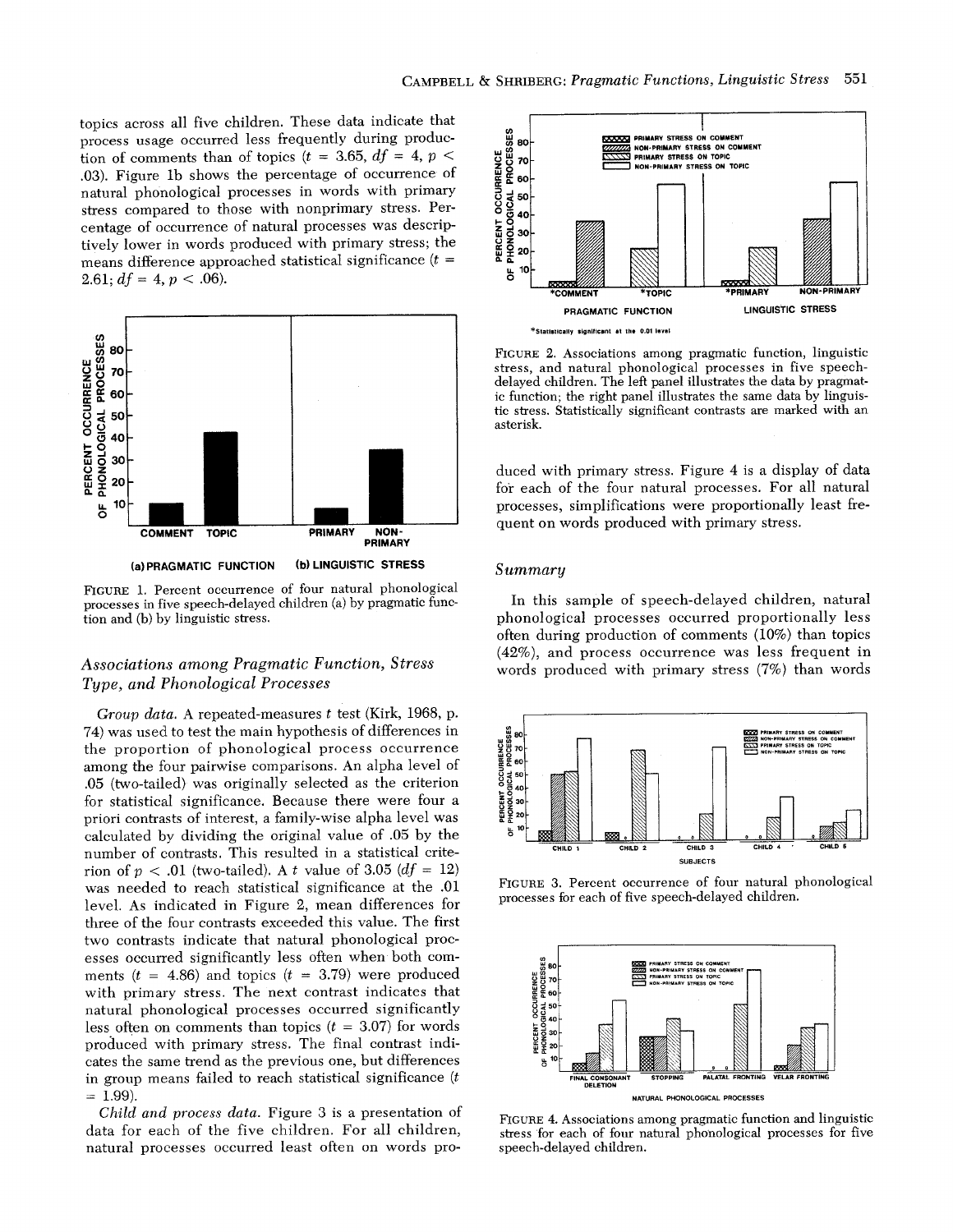topics across all five children. These data indicate that process usage occurred less frequently during production of comments than of topics  $(t = 3.65, df = 4, p <$ .03). Figure lb shows the percentage of occurrence of natural phonological processes in words with primary stress compared to those with nonprimary stress. Percentage of occurrence of natural processes was descriptively lower in words produced with primary stress; the means difference approached statistical significance  $(t =$ 2.61;  $df = 4$ ,  $p < .06$ ).



FIGURE 1. Percent occurrence of four natural phonological processes in five speech-delayed children (a) by pragmatic function and (b) by linguistic stress.

## *Associations among Pragmatic Function, Stress Type, and Phonological Processes*

*Group data.* A repeated-measures t test (Kirk, 1968, p. 74) was used to test the main hypothesis of differences in the proportion of phonological process occurrence among the four pairwise comparisons. An alpha level of .05 (two-tailed) was originally selected as the criterion for statistical significance. Because there were four a priori contrasts of interest, a family-wise alpha level was calculated by dividing the original value of .05 by the number of contrasts. This resulted in a statistical criterion of  $p < .01$  (two-tailed). A t value of 3.05 ( $df = 12$ ) was needed to reach statistical significance at the .01 level. As indicated in Figure 2, mean differences for three of the four contrasts exceeded this value. The first two contrasts indicate that natural phonological processes occurred significantly less often when both comments ( $t = 4.86$ ) and topics ( $t = 3.79$ ) were produced with primary stress. The next contrast indicates that natural phonological processes occurred significantly less often on comments than topics  $(t = 3.07)$  for words produced with primary stress. The final contrast indicates the same trend as the previous one, but differences in group means failed to reach statistical significance  $(t)$  $= 1.99$ ).

*Child and process data.* Figure 3 is a presentation of data for each of the five children. For all children, natural processes occurred least often on words pro-



FIGURE 2. Associations among pragmatic function, linguistic stress, and natural phonological processes in five speechdelayed children. The left panel illustrates the data by pragmatic function; the right panel illustrates the same data by linguistic stress. Statistically significant contrasts are marked with an asterisk.

duced with primary stress. Figure 4 is a display of data for each of the four natural processes. For all natural processes, simplifications were proportionally least frequent on words produced with primary stress.

#### *Summary*

In this sample of speech-delayed children, natural phonological processes occurred proportionally less often during production of comments (10%) than topics (42%), and process occurrence was less frequent in words produced with primary stress (7%) than words



FIGURE 3. Percent occurrence of four natural phonological processes for each of five speech-delayed children.



FIGURE 4. Associations among pragmatic function and linguistic stress for each of four natural phonological processes for five speech-delayed children.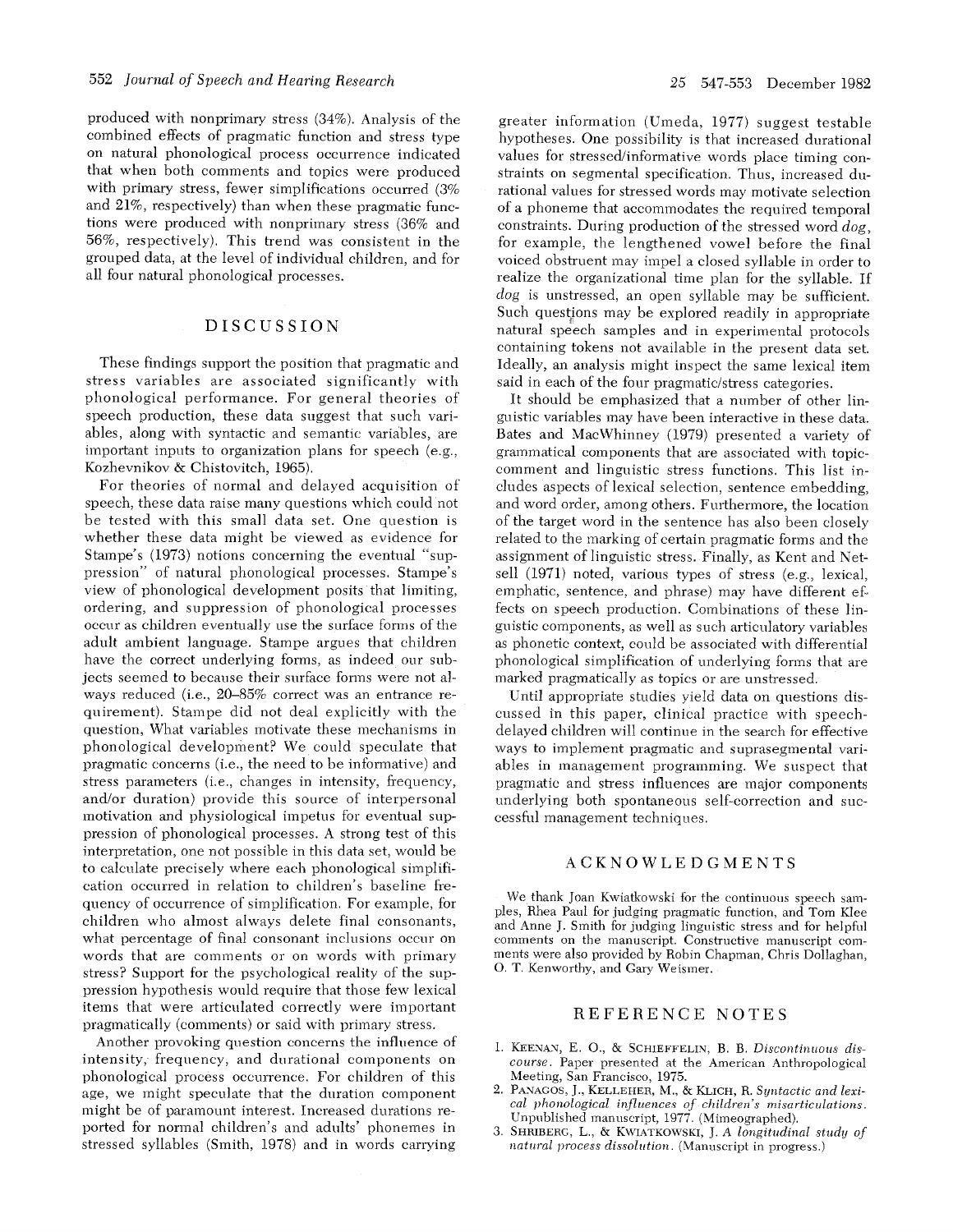produced with nonprimary stress (34%). Analysis of the combined effects of pragmatic function and stress type on natural phonological proeess oecurrenee indicated that when both comments and topics were produced with primary stress, fewer simplifications occurred (3%) and 21%, respectively) than when these pragmatic functions were produced with nonprimary stress (36% and 56%, respectively). This trend was eonsistent in the grouped data, at the level of individual children, and for all four natural phonological processes.

## DISCUSSION

These findings support the position that pragmatic and stress variables are associated significantly with phonological performance. For general theories of speech production, these data suggest that such variables, along with syntactic and semantic variables, are important inputs to organization plans for speech (e.g., Kozhevnikov & Chistovitch, 1965).

For theories of normal and delayed acquisition of speech, these data raise many questions which could not be tested with this small data set. One question is whether these data might be viewed as evidence for Stampe's (1973) notions concerning the eventual "suppression" of natural phonological processes. Stampe's view of phonological development posits that limiting, ordering, and suppression of phonological processes occur as children eventually use the surface forms of the adult ambient language. Stampe argues that children have the correct underlying forms, as indeed our subjects seemed to because their surface forms were not always reduced (i.e., 20-85% correct was an entrance requirement). Stampe did not deal explicitly with the question, What variables motivate these mechanisms in phonological development? We could speculate that pragmatic concerns (i.e., the need to be informative) and stress parameters (i.e., changes in intensity, frequency, and/or duration) provide this source of interpersonal motivation and physiological impetus for eventual suppression of phonological processes. A strong test of this interpretation, one not possible in this data set, would be to calculate precisely where each phonological simplification occurred in relation to children's baseline frequency of occurrence of simplification. For example, for children who almost always delete final consonants, what percentage of final consonant inclusions oceur on words that are comments or on words with primary stress? Support for the psychological reality of the suppression hypothesis would require that those few lexical items that were artieulated correctly were important pragmatically (comments) or said with primary stress.

Another provoking question concerns the influence of intensity,-frequency, and durational components on phonological process occurrence. For children of this age, we might speculate that the duration eomponent might be of paramount interest. Increased durations reported for normal children's and adults' phonemes in stressed syllables (Smith, 1978) and in words carrying

greater information (Umeda, 1977) suggest testable hypotheses. One possibility is that increased durational values for stressed/informative words place timing constraints on segmental specification. Thus, increased durational values for stressed words may motivate selection of a phoneme that accommodates the required temporal constraints. During production of the stressed word *dog,*  for example, the lengthened vowel before the final voiced obstruent may impel a closed syllable in order to realize the organizational time plan for the syllable. If *dog* is unstressed, an open syllable may be sufficient. Such questions may be explored readily in appropriate natural speech samples and in experimental protocols containing tokens not available in the present data set. Ideally, an analysis might inspect the same lexieal item said in each of the four pragmatic/stress categories.

It should be emphasized that a number of other linguistic variables may have been interactive in these data. Bates and MaeWhinney (1979) presented a variety of grammatical components that are associated with topiccomment and linguistic stress fimctions. This list ineludes aspects of lexieal selection, sentence embedding, and word order, among others. Furthermore, the location of the target word in the sentence has also been closely related to the marking of certain pragmatie forms and the assignment of linguistic stress. Finally, as Kent and Netsell (1971) noted, various types of stress (e.g., lexieal, emphatic, sentence, and phrase) may have different effeets on speech production. Combinations of these linguistic components, as well as such articulatory variables as phonetic eontext, could be associated with differential phonological simplification of underlying forms that are marked pragmatically as topics or are unstressed.

Until appropriate studies yield data on questions discussed in this paper, clinical practice with speechdelayed children will continue in the search for effective ways to implement pragmatic and suprasegmental variables in management programming. We suspect that pragmatic and stress influences are major components underlying both spontaneous self-correction and suecessful management techniques.

### ACKNOWLEDGMENTS

We thank Joan Kwiatkowski for the continuous speech samples, Rhea Paul for judging pragmatic function, and Tom Klee and Anne J. Smith for judging linguistic stress and for helpful comments on the manuscript. Constructive manuscript comments were also provided by Robin Chapman, Chris Dollaghan, O. T. Kenworthy, and Gary Weismer.

## REFERENCE NOTES

- 1. KEENAN, E. O., & SCHIEFFELIN, B. B. *Discontinuous discourse.* Paper presented at the American Anthropological Meeting, San Franciseo, 1975.
- 2. PANAGOS, J., KELLEHER, M., & KLICH, R. Syntactic and lexi*cal phonological influences of children's' misarticulations.*  Unpublished manuscript, 1977. (Mimeographed).
- 3. SHRIBERG, L., & KWIATKOWSKI, J. A longitudinal study of *natural process dissohttion.* (Manuscript in progress.)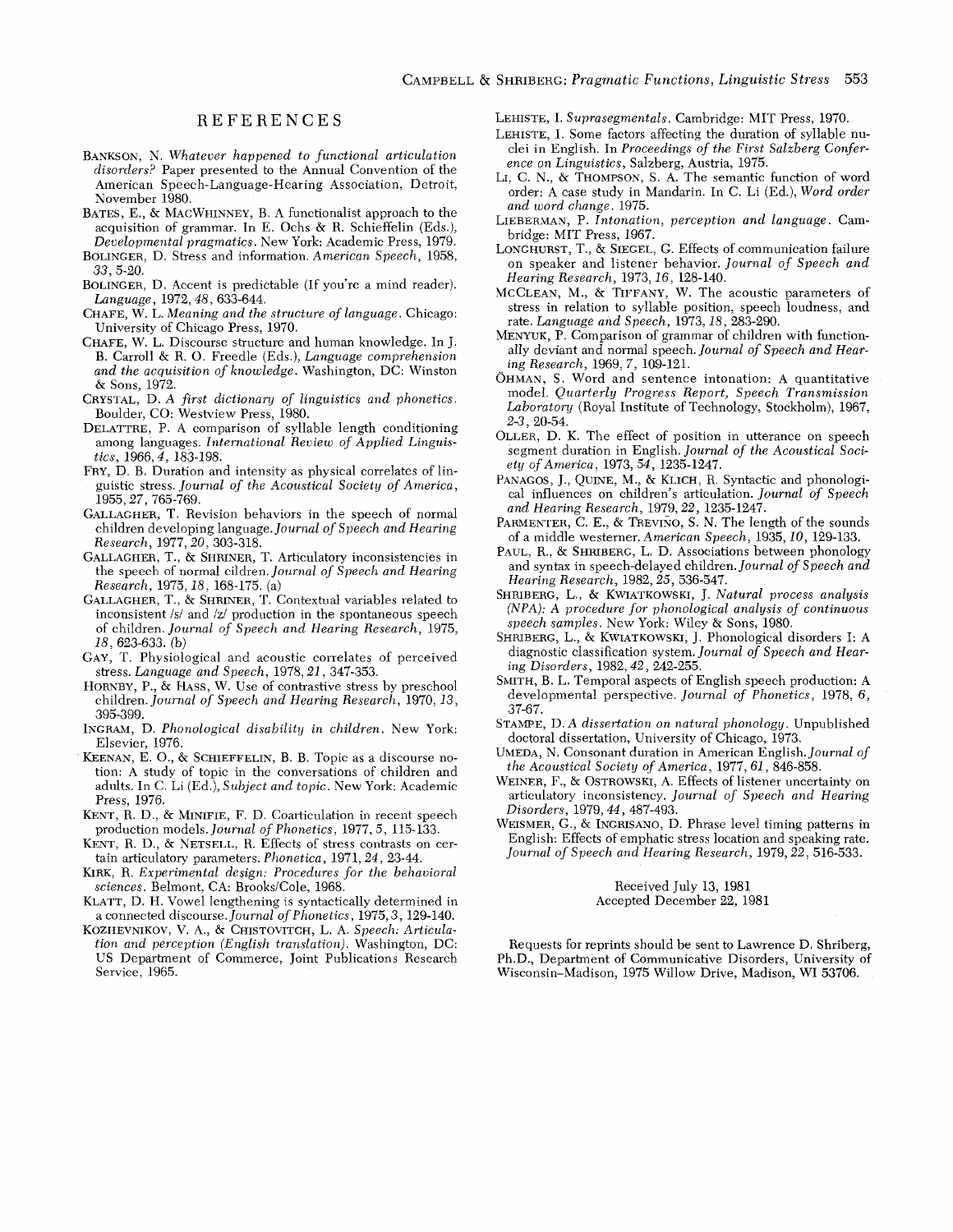## **REFERENCES**

- BANKSON, N. *Whatever happened to functional articulation disorders?* Paper presented to the Annual Convention of the American Speech-Language-Hearing Association, Detroit, November 1980.
- BATES, E., & MACWHINNEY, B. A functionalist approach to the acquisition of grammar. In E. Ochs & R. Schieffelin (Eds.), *Developmental pragmaties.* New York: Academic Press, 1979.
- BOLINGER, D. Stress and information. *American Speech,* 1958, *33,* 5-20.
- BOLINGER, D. Accent is predictable (If you're a mind reader). *Language,* 1972, *48,633-644.*
- CHAFE, W. L. *Meaning and the structure of language.* Chicago: University of Chicago Press, 1970.
- CHAFE, W. L. Discourse structure and human knowledge. In J. B. Carroll & R. O. Freedle (Eds.), *Language comprehension and the acquisition of knowledge.* Washington, DC: Winston & Sons, 1972.
- CRYSTAL, D. A first dictionary of linguistics and phonetics. Boulder, CO: Westview Press, 1980.
- DELATTRE, P. A comparison of syllable length conditioning among languages , *International Review of Applied Linguistics,* 1966, 4, 183-198.
- FRY, D. B. Duration and intensity as physical correlates of linguistic stress. *Journal of the Acoustical Society of America,*  1955, *27,765-769.*
- GALLAGHER, T. Revision behaviors in the speech of normal children developing language. *Journal of Speech and Hearing Research,* 1977, *20,303-318.*
- GALLAGHEB, T., & SHRINER, T. Artieulatory inconsistencies in the speech of normal eildren. *Journal of Speech and Hearing Research,* 1975, *18,* 168-175. (a)
- GALLAGHER, T., & SHRINER, T. Contextnal variables related to inconsistent /s/ and /z/ production in the spontaneous speech of children. *Journal of Speech and Hearing Research,* 1975, *18,623-633.* (b)
- GAY, T. Physiological and acoustic correlates of perceived stress. *Language and Speech,* 1978, *21,347-353.*
- HORNBY, P., & HASS, W. Use of eontrastive stress by preschool children. *Journal of Speech and Hearing Research,* 1970, *13,*  395-399.
- INGRAM, D. *Phonological disability in children.* New York: Elsevier, 1976.
- KEENAN, E. O., & SCHIEFFELIN, B. B. Topic as a discourse notion: A study of topic in the conversations of children and adults. In C. Li (Ed.), *Subject and topic.* New York: Academic Press, 1976.
- KENT, R. D., & MINIFIE, F. D. Coarticulation in recent speech production *models.Journal of Phonetics,* 1977, 5, 115-133.
- KENT, R. D., & NETSELL, R. Effects of stress contrasts on certain artieulatory parameters. *Phonetica,* 1971, *24,* 23-44.
- KIRK, R. Experimental design: Procedures for the behavioral *sciences.* Belmont, CA: Brooks/Cole, 1968.
- KLATT, D. H. Vowel lengthening is syntactically determined in a connected *discourse.Journal of Phonetics,* 1975, *3,129-140.*
- KOZHEVNIKOV, V. A., & CHISTOVITCH, L. A. *Speech: Articulation and perception (English translation).* Washington, DC: US Department of Commerce, Joint Publications Research Service, 1965.

LEHISTE, I. *Suprasegmentals.* Cambridge: MIT Press, 1970.

- LEHISTE, I. Some factors affecting the duration of syllable nuclei in English. In *Proceedings of the First Salzberg Conference on Linguistics,* Salzberg, Austria, 1975.
- LI, C. N., & THOMPSON, S. A. The semantic function of word order: A case study in Mandarin. In C. Li (Ed.), *Word order and word change.* 1975.
- LIEBERMAN, P. *Intonation, perception and language.* Cambridge: MIT Press, 1967.
- LONGHURST, T., & SIEGEL, G. Effects of communication failure on speaker and listener behavior. *Journal of Speech and Hearing Research,* 1973, *16,128-140.*
- MCCLEAN, M., & TIFFANY, W. The acoustic parameters of stress in relation to syllable position, speech loudness, and rate. *Language and Speech,* 1973, *18,283-290.*
- MENYUK, P. Comparison of grammar of children with functionally deviant and normal speech. *Journal of Speech and Hearing Research.,* 1969, 7, 109-121.
- OHMAN, S. Word and sentence intonation: A quantitative model. *Quarterly Progress Report, Speech Transmission Laboratory* (Royal Institute of Technology, Stockholm), 1967, *2-3,* 20-54.
- OLLER, D. K. The effect of position in utterance on speech segment duration in English. *Journal of the Acoustical Society of America, 1973, 54, 1235-1247.*
- PANAGOS, J., QUINE, M., & KLICH, R. Syntactic and phonological influences on children's articulation. *Journal of Speech and Hearing Research,* 1979, *22,* 1235-1247.
- PARMENTER, C. E., & TREVINO, S. N. The length of the sounds of a middle westerner. *American Speech,* 1935, *10,* 129-133.
- PAUL, R., & SHRIBERG, L. D. Associations between phonology and syntax in speech-delayed children. *Journal of Speech and Hearing Research,* 1982, *25,536-547.*
- SHRIBERG, L., & KWIATKOWSKI, J. Natural process analysis *(NPA): A procedure for phonological analysis of continuous speech samples.* New York: Wiley & Sons, 1980.
- SHRIBERG, L., & KWIATKOWSKI, J. Phonological disorders I: A diagnostic classification system. *Journal of Speech and Hearing Disorders,* i982, *42,* '242-255.
- SMITH, B. L. Temporal aspects of English speech production: A developmental perspective. *Journal of Phonetics,* 1978, 6, 37-67.
- STAMPE, D. A dissertation on natural phonology. Unpublished doctoral dissertation, University of Chicago, 1973.
- UMEDA, N. Consonant duration in American English. *Journal of the Acoustical Society of America,* 1977, 61,846-858.
- WEINER, F., & OSTROWSKI, A. Effects of listener uncertainty on articulatory inconsistency. *Journal of Speech and Hearing Disorders,* 1979, 44,487-493.
- WEISMER, G., & INGRISANO, D. Phrase level timing patterns in English: Effects of emphatic stress location and speaking rate. *Journal of Speech and Hearing Research, 1979, 22, 516-533.*

Received July 13, 1981 Accepted December 22, 1981

Requests for reprints should be sent to Lawrence D. Shriberg, Ph.D., Department of Communicative Disorders, University of Wisconsin-Madison, 1975 Willow Drive, Madison, WI 53706.